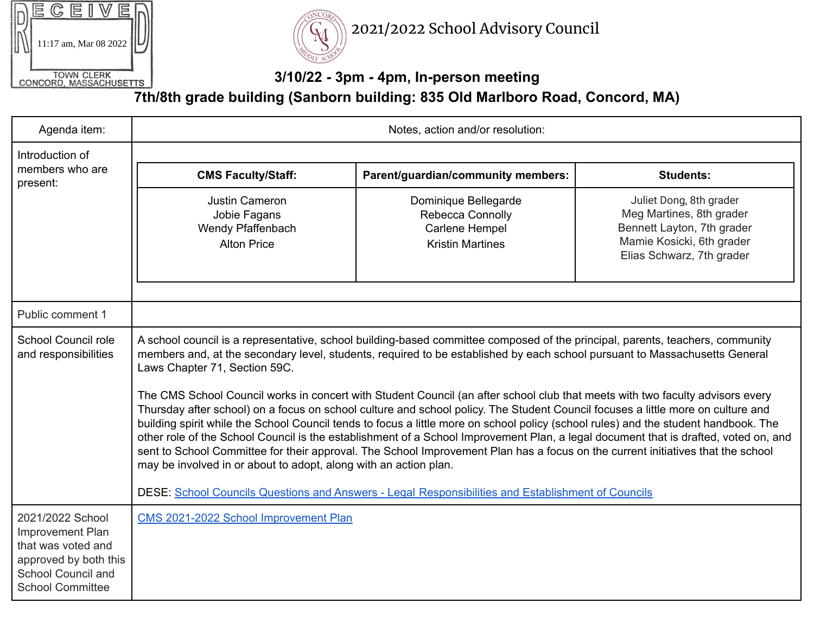|                                             |                       |  | г. |  |  |  |  |
|---------------------------------------------|-----------------------|--|----|--|--|--|--|
|                                             |                       |  |    |  |  |  |  |
|                                             | 11:17 am, Mar 08 2022 |  |    |  |  |  |  |
|                                             |                       |  |    |  |  |  |  |
| <b>TOWN CLERK</b><br>CONCORD, MASSACHUSETTS |                       |  |    |  |  |  |  |
|                                             |                       |  |    |  |  |  |  |



2021/2022 School Advisory Council

## **3/10/22 - 3pm - 4pm, In-person meeting**

**7th/8th grade building (Sanborn building: 835 Old Marlboro Road, Concord, MA)**

| Agenda item:                                                                                                                         | Notes, action and/or resolution:                                                                                                                                                                                                                                                                                                                                                                                                                                                                                                                                                                                                                                                                                                                                                                                                                                                                                                                                                                                                                                                                                                                            |                                                                                       |                                                                                                                                             |  |  |  |  |
|--------------------------------------------------------------------------------------------------------------------------------------|-------------------------------------------------------------------------------------------------------------------------------------------------------------------------------------------------------------------------------------------------------------------------------------------------------------------------------------------------------------------------------------------------------------------------------------------------------------------------------------------------------------------------------------------------------------------------------------------------------------------------------------------------------------------------------------------------------------------------------------------------------------------------------------------------------------------------------------------------------------------------------------------------------------------------------------------------------------------------------------------------------------------------------------------------------------------------------------------------------------------------------------------------------------|---------------------------------------------------------------------------------------|---------------------------------------------------------------------------------------------------------------------------------------------|--|--|--|--|
| Introduction of<br>members who are<br>present:                                                                                       |                                                                                                                                                                                                                                                                                                                                                                                                                                                                                                                                                                                                                                                                                                                                                                                                                                                                                                                                                                                                                                                                                                                                                             |                                                                                       |                                                                                                                                             |  |  |  |  |
|                                                                                                                                      | <b>CMS Faculty/Staff:</b>                                                                                                                                                                                                                                                                                                                                                                                                                                                                                                                                                                                                                                                                                                                                                                                                                                                                                                                                                                                                                                                                                                                                   | Parent/guardian/community members:                                                    | <b>Students:</b>                                                                                                                            |  |  |  |  |
|                                                                                                                                      | Justin Cameron<br>Jobie Fagans<br>Wendy Pfaffenbach<br><b>Alton Price</b>                                                                                                                                                                                                                                                                                                                                                                                                                                                                                                                                                                                                                                                                                                                                                                                                                                                                                                                                                                                                                                                                                   | Dominique Bellegarde<br>Rebecca Connolly<br>Carlene Hempel<br><b>Kristin Martines</b> | Juliet Dong, 8th grader<br>Meg Martines, 8th grader<br>Bennett Layton, 7th grader<br>Mamie Kosicki, 6th grader<br>Elias Schwarz, 7th grader |  |  |  |  |
| Public comment 1                                                                                                                     |                                                                                                                                                                                                                                                                                                                                                                                                                                                                                                                                                                                                                                                                                                                                                                                                                                                                                                                                                                                                                                                                                                                                                             |                                                                                       |                                                                                                                                             |  |  |  |  |
| School Council role<br>and responsibilities                                                                                          | A school council is a representative, school building-based committee composed of the principal, parents, teachers, community<br>members and, at the secondary level, students, required to be established by each school pursuant to Massachusetts General<br>Laws Chapter 71, Section 59C.<br>The CMS School Council works in concert with Student Council (an after school club that meets with two faculty advisors every<br>Thursday after school) on a focus on school culture and school policy. The Student Council focuses a little more on culture and<br>building spirit while the School Council tends to focus a little more on school policy (school rules) and the student handbook. The<br>other role of the School Council is the establishment of a School Improvement Plan, a legal document that is drafted, voted on, and<br>sent to School Committee for their approval. The School Improvement Plan has a focus on the current initiatives that the school<br>may be involved in or about to adopt, along with an action plan.<br>DESE: School Councils Questions and Answers - Legal Responsibilities and Establishment of Councils |                                                                                       |                                                                                                                                             |  |  |  |  |
| 2021/2022 School<br>Improvement Plan<br>that was voted and<br>approved by both this<br>School Council and<br><b>School Committee</b> | CMS 2021-2022 School Improvement Plan                                                                                                                                                                                                                                                                                                                                                                                                                                                                                                                                                                                                                                                                                                                                                                                                                                                                                                                                                                                                                                                                                                                       |                                                                                       |                                                                                                                                             |  |  |  |  |